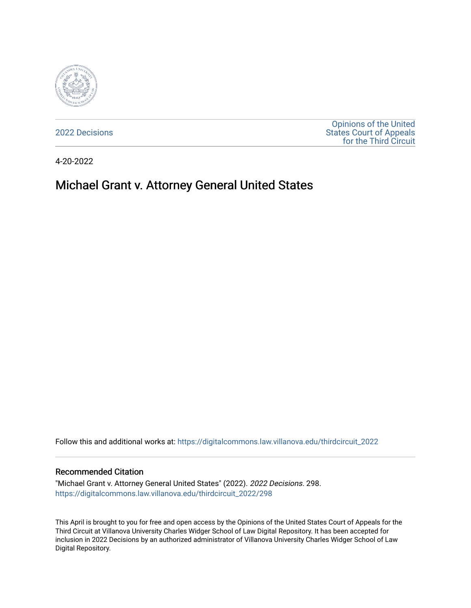

[2022 Decisions](https://digitalcommons.law.villanova.edu/thirdcircuit_2022)

[Opinions of the United](https://digitalcommons.law.villanova.edu/thirdcircuit)  [States Court of Appeals](https://digitalcommons.law.villanova.edu/thirdcircuit)  [for the Third Circuit](https://digitalcommons.law.villanova.edu/thirdcircuit) 

4-20-2022

# Michael Grant v. Attorney General United States

Follow this and additional works at: [https://digitalcommons.law.villanova.edu/thirdcircuit\\_2022](https://digitalcommons.law.villanova.edu/thirdcircuit_2022?utm_source=digitalcommons.law.villanova.edu%2Fthirdcircuit_2022%2F298&utm_medium=PDF&utm_campaign=PDFCoverPages) 

#### Recommended Citation

"Michael Grant v. Attorney General United States" (2022). 2022 Decisions. 298. [https://digitalcommons.law.villanova.edu/thirdcircuit\\_2022/298](https://digitalcommons.law.villanova.edu/thirdcircuit_2022/298?utm_source=digitalcommons.law.villanova.edu%2Fthirdcircuit_2022%2F298&utm_medium=PDF&utm_campaign=PDFCoverPages)

This April is brought to you for free and open access by the Opinions of the United States Court of Appeals for the Third Circuit at Villanova University Charles Widger School of Law Digital Repository. It has been accepted for inclusion in 2022 Decisions by an authorized administrator of Villanova University Charles Widger School of Law Digital Repository.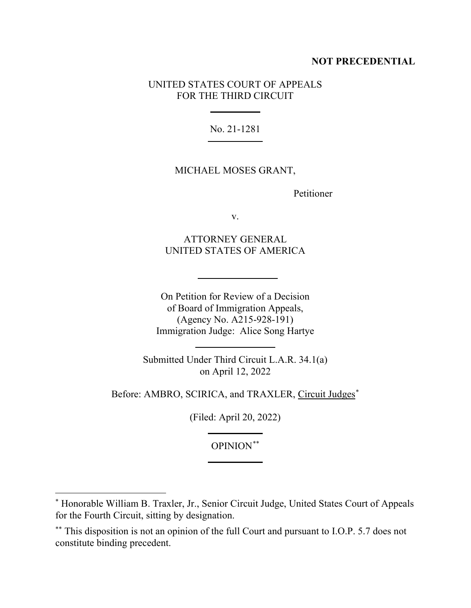## **NOT PRECEDENTIAL**

## UNITED STATES COURT OF APPEALS FOR THE THIRD CIRCUIT

No. 21-1281

## MICHAEL MOSES GRANT,

Petitioner

v.

ATTORNEY GENERAL UNITED STATES OF AMERICA

On Petition for Review of a Decision of Board of Immigration Appeals, (Agency No. A215-928-191) Immigration Judge: Alice Song Hartye

Submitted Under Third Circuit L.A.R. 34.1(a) on April 12, 2022

Before: AMBRO, SCIRICA, and TRAXLER, Circuit Judges\*

(Filed: April 20, 2022)

OPINION\*\*

<sup>\*</sup> Honorable William B. Traxler, Jr., Senior Circuit Judge, United States Court of Appeals for the Fourth Circuit, sitting by designation.

<sup>\*\*</sup> This disposition is not an opinion of the full Court and pursuant to I.O.P. 5.7 does not constitute binding precedent.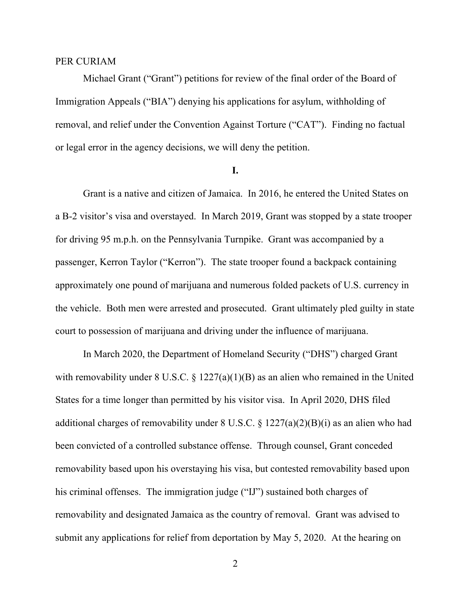## PER CURIAM

Michael Grant ("Grant") petitions for review of the final order of the Board of Immigration Appeals ("BIA") denying his applications for asylum, withholding of removal, and relief under the Convention Against Torture ("CAT"). Finding no factual or legal error in the agency decisions, we will deny the petition.

## **I.**

Grant is a native and citizen of Jamaica. In 2016, he entered the United States on a B-2 visitor's visa and overstayed. In March 2019, Grant was stopped by a state trooper for driving 95 m.p.h. on the Pennsylvania Turnpike. Grant was accompanied by a passenger, Kerron Taylor ("Kerron"). The state trooper found a backpack containing approximately one pound of marijuana and numerous folded packets of U.S. currency in the vehicle. Both men were arrested and prosecuted. Grant ultimately pled guilty in state court to possession of marijuana and driving under the influence of marijuana.

In March 2020, the Department of Homeland Security ("DHS") charged Grant with removability under 8 U.S.C. § 1227(a)(1)(B) as an alien who remained in the United States for a time longer than permitted by his visitor visa. In April 2020, DHS filed additional charges of removability under  $8 \text{ U.S.C. } \frac{6 \text{ 1227(a)(2)(B)(i)}}{2 \text{ 123(a)(B)(i)}}$  as an alien who had been convicted of a controlled substance offense. Through counsel, Grant conceded removability based upon his overstaying his visa, but contested removability based upon his criminal offenses. The immigration judge ("IJ") sustained both charges of removability and designated Jamaica as the country of removal. Grant was advised to submit any applications for relief from deportation by May 5, 2020. At the hearing on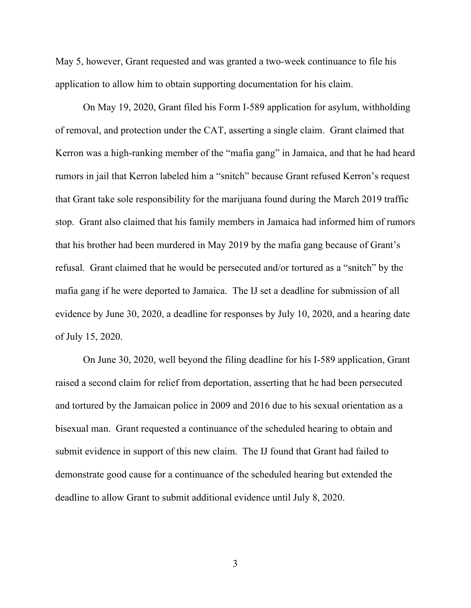May 5, however, Grant requested and was granted a two-week continuance to file his application to allow him to obtain supporting documentation for his claim.

On May 19, 2020, Grant filed his Form I-589 application for asylum, withholding of removal, and protection under the CAT, asserting a single claim. Grant claimed that Kerron was a high-ranking member of the "mafia gang" in Jamaica, and that he had heard rumors in jail that Kerron labeled him a "snitch" because Grant refused Kerron's request that Grant take sole responsibility for the marijuana found during the March 2019 traffic stop. Grant also claimed that his family members in Jamaica had informed him of rumors that his brother had been murdered in May 2019 by the mafia gang because of Grant's refusal. Grant claimed that he would be persecuted and/or tortured as a "snitch" by the mafia gang if he were deported to Jamaica. The IJ set a deadline for submission of all evidence by June 30, 2020, a deadline for responses by July 10, 2020, and a hearing date of July 15, 2020.

On June 30, 2020, well beyond the filing deadline for his I-589 application, Grant raised a second claim for relief from deportation, asserting that he had been persecuted and tortured by the Jamaican police in 2009 and 2016 due to his sexual orientation as a bisexual man. Grant requested a continuance of the scheduled hearing to obtain and submit evidence in support of this new claim. The IJ found that Grant had failed to demonstrate good cause for a continuance of the scheduled hearing but extended the deadline to allow Grant to submit additional evidence until July 8, 2020.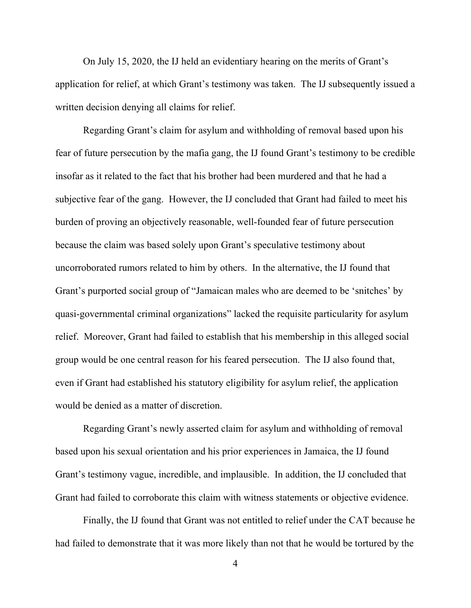On July 15, 2020, the IJ held an evidentiary hearing on the merits of Grant's application for relief, at which Grant's testimony was taken. The IJ subsequently issued a written decision denying all claims for relief.

Regarding Grant's claim for asylum and withholding of removal based upon his fear of future persecution by the mafia gang, the IJ found Grant's testimony to be credible insofar as it related to the fact that his brother had been murdered and that he had a subjective fear of the gang. However, the IJ concluded that Grant had failed to meet his burden of proving an objectively reasonable, well-founded fear of future persecution because the claim was based solely upon Grant's speculative testimony about uncorroborated rumors related to him by others. In the alternative, the IJ found that Grant's purported social group of "Jamaican males who are deemed to be 'snitches' by quasi-governmental criminal organizations" lacked the requisite particularity for asylum relief. Moreover, Grant had failed to establish that his membership in this alleged social group would be one central reason for his feared persecution. The IJ also found that, even if Grant had established his statutory eligibility for asylum relief, the application would be denied as a matter of discretion.

Regarding Grant's newly asserted claim for asylum and withholding of removal based upon his sexual orientation and his prior experiences in Jamaica, the IJ found Grant's testimony vague, incredible, and implausible. In addition, the IJ concluded that Grant had failed to corroborate this claim with witness statements or objective evidence.

Finally, the IJ found that Grant was not entitled to relief under the CAT because he had failed to demonstrate that it was more likely than not that he would be tortured by the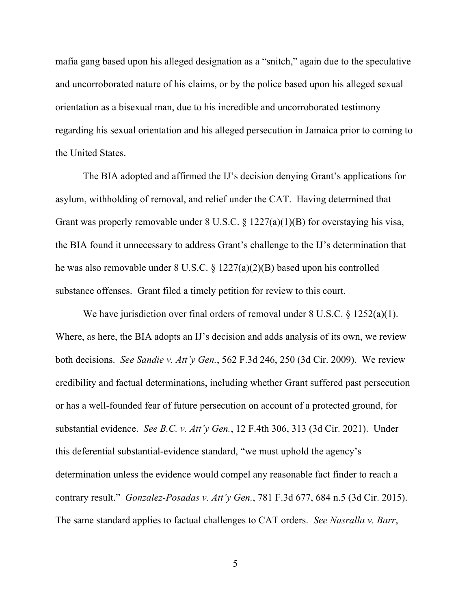mafia gang based upon his alleged designation as a "snitch," again due to the speculative and uncorroborated nature of his claims, or by the police based upon his alleged sexual orientation as a bisexual man, due to his incredible and uncorroborated testimony regarding his sexual orientation and his alleged persecution in Jamaica prior to coming to the United States.

The BIA adopted and affirmed the IJ's decision denying Grant's applications for asylum, withholding of removal, and relief under the CAT. Having determined that Grant was properly removable under 8 U.S.C. § 1227(a)(1)(B) for overstaying his visa, the BIA found it unnecessary to address Grant's challenge to the IJ's determination that he was also removable under 8 U.S.C. § 1227(a)(2)(B) based upon his controlled substance offenses. Grant filed a timely petition for review to this court.

We have jurisdiction over final orders of removal under 8 U.S.C. § 1252(a)(1). Where, as here, the BIA adopts an IJ's decision and adds analysis of its own, we review both decisions. *See Sandie v. Att'y Gen.*, 562 F.3d 246, 250 (3d Cir. 2009). We review credibility and factual determinations, including whether Grant suffered past persecution or has a well-founded fear of future persecution on account of a protected ground, for substantial evidence. *See B.C. v. Att'y Gen.*, 12 F.4th 306, 313 (3d Cir. 2021). Under this deferential substantial-evidence standard, "we must uphold the agency's determination unless the evidence would compel any reasonable fact finder to reach a contrary result." *Gonzalez-Posadas v. Att'y Gen.*, 781 F.3d 677, 684 n.5 (3d Cir. 2015). The same standard applies to factual challenges to CAT orders. *See Nasralla v. Barr*,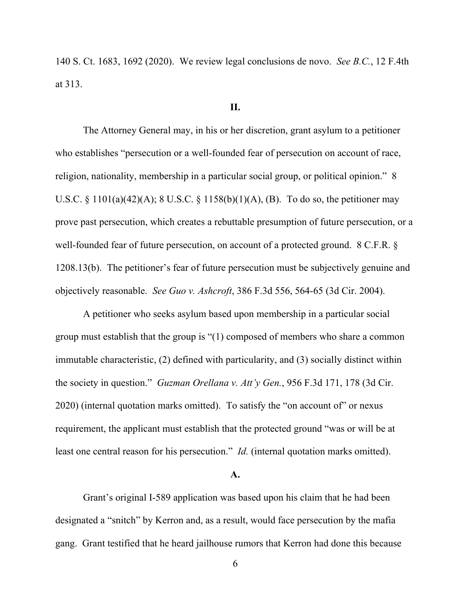140 S. Ct. 1683, 1692 (2020). We review legal conclusions de novo. *See B.C.*, 12 F.4th at 313.

## **II.**

The Attorney General may, in his or her discretion, grant asylum to a petitioner who establishes "persecution or a well-founded fear of persecution on account of race, religion, nationality, membership in a particular social group, or political opinion." 8 U.S.C. § 1101(a)(42)(A); 8 U.S.C. § 1158(b)(1)(A), (B). To do so, the petitioner may prove past persecution, which creates a rebuttable presumption of future persecution, or a well-founded fear of future persecution, on account of a protected ground. 8 C.F.R. § 1208.13(b). The petitioner's fear of future persecution must be subjectively genuine and objectively reasonable. *See Guo v. Ashcroft*, 386 F.3d 556, 564-65 (3d Cir. 2004).

A petitioner who seeks asylum based upon membership in a particular social group must establish that the group is "(1) composed of members who share a common immutable characteristic, (2) defined with particularity, and (3) socially distinct within the society in question." *Guzman Orellana v. Att'y Gen.*, 956 F.3d 171, 178 (3d Cir. 2020) (internal quotation marks omitted). To satisfy the "on account of" or nexus requirement, the applicant must establish that the protected ground "was or will be at least one central reason for his persecution." *Id.* (internal quotation marks omitted).

#### **A.**

Grant's original I-589 application was based upon his claim that he had been designated a "snitch" by Kerron and, as a result, would face persecution by the mafia gang. Grant testified that he heard jailhouse rumors that Kerron had done this because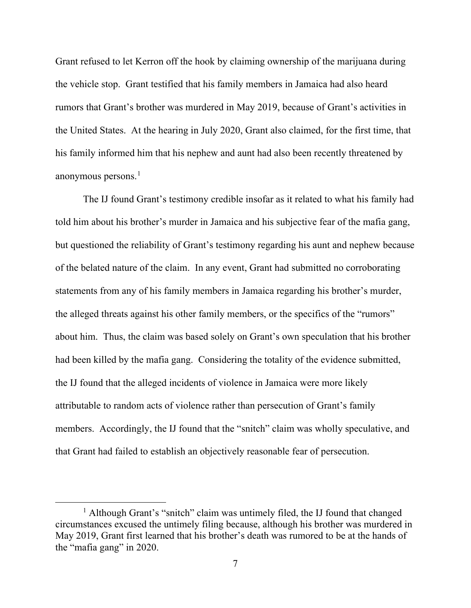Grant refused to let Kerron off the hook by claiming ownership of the marijuana during the vehicle stop. Grant testified that his family members in Jamaica had also heard rumors that Grant's brother was murdered in May 2019, because of Grant's activities in the United States. At the hearing in July 2020, Grant also claimed, for the first time, that his family informed him that his nephew and aunt had also been recently threatened by anonymous persons. 1

The IJ found Grant's testimony credible insofar as it related to what his family had told him about his brother's murder in Jamaica and his subjective fear of the mafia gang, but questioned the reliability of Grant's testimony regarding his aunt and nephew because of the belated nature of the claim. In any event, Grant had submitted no corroborating statements from any of his family members in Jamaica regarding his brother's murder, the alleged threats against his other family members, or the specifics of the "rumors" about him. Thus, the claim was based solely on Grant's own speculation that his brother had been killed by the mafia gang. Considering the totality of the evidence submitted, the IJ found that the alleged incidents of violence in Jamaica were more likely attributable to random acts of violence rather than persecution of Grant's family members. Accordingly, the IJ found that the "snitch" claim was wholly speculative, and that Grant had failed to establish an objectively reasonable fear of persecution.

<sup>&</sup>lt;sup>1</sup> Although Grant's "snitch" claim was untimely filed, the IJ found that changed circumstances excused the untimely filing because, although his brother was murdered in May 2019, Grant first learned that his brother's death was rumored to be at the hands of the "mafia gang" in 2020.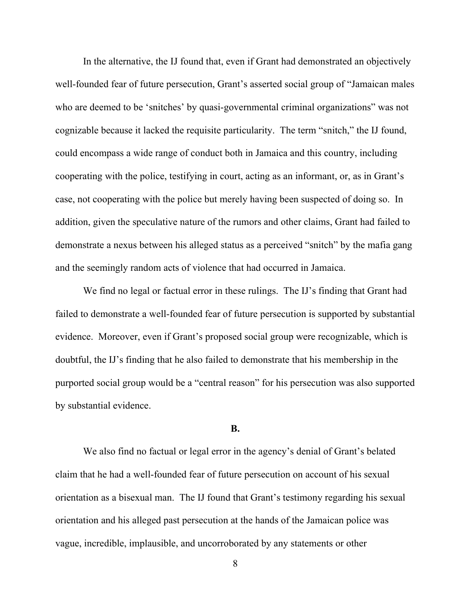In the alternative, the IJ found that, even if Grant had demonstrated an objectively well-founded fear of future persecution, Grant's asserted social group of "Jamaican males who are deemed to be 'snitches' by quasi-governmental criminal organizations" was not cognizable because it lacked the requisite particularity. The term "snitch," the IJ found, could encompass a wide range of conduct both in Jamaica and this country, including cooperating with the police, testifying in court, acting as an informant, or, as in Grant's case, not cooperating with the police but merely having been suspected of doing so. In addition, given the speculative nature of the rumors and other claims, Grant had failed to demonstrate a nexus between his alleged status as a perceived "snitch" by the mafia gang and the seemingly random acts of violence that had occurred in Jamaica.

We find no legal or factual error in these rulings. The IJ's finding that Grant had failed to demonstrate a well-founded fear of future persecution is supported by substantial evidence. Moreover, even if Grant's proposed social group were recognizable, which is doubtful, the IJ's finding that he also failed to demonstrate that his membership in the purported social group would be a "central reason" for his persecution was also supported by substantial evidence.

#### **B.**

We also find no factual or legal error in the agency's denial of Grant's belated claim that he had a well-founded fear of future persecution on account of his sexual orientation as a bisexual man. The IJ found that Grant's testimony regarding his sexual orientation and his alleged past persecution at the hands of the Jamaican police was vague, incredible, implausible, and uncorroborated by any statements or other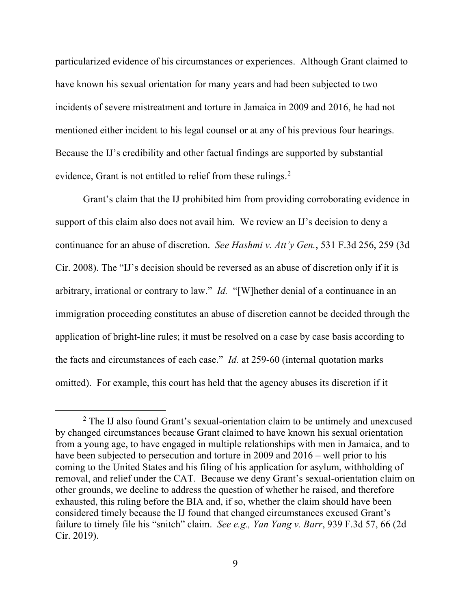particularized evidence of his circumstances or experiences. Although Grant claimed to have known his sexual orientation for many years and had been subjected to two incidents of severe mistreatment and torture in Jamaica in 2009 and 2016, he had not mentioned either incident to his legal counsel or at any of his previous four hearings. Because the IJ's credibility and other factual findings are supported by substantial evidence, Grant is not entitled to relief from these rulings.<sup>2</sup>

Grant's claim that the IJ prohibited him from providing corroborating evidence in support of this claim also does not avail him. We review an IJ's decision to deny a continuance for an abuse of discretion. *See Hashmi v. Att'y Gen.*, 531 F.3d 256, 259 (3d Cir. 2008). The "IJ's decision should be reversed as an abuse of discretion only if it is arbitrary, irrational or contrary to law." *Id.* "[W]hether denial of a continuance in an immigration proceeding constitutes an abuse of discretion cannot be decided through the application of bright-line rules; it must be resolved on a case by case basis according to the facts and circumstances of each case." *Id.* at 259-60 (internal quotation marks omitted). For example, this court has held that the agency abuses its discretion if it

<sup>&</sup>lt;sup>2</sup> The IJ also found Grant's sexual-orientation claim to be untimely and unexcused by changed circumstances because Grant claimed to have known his sexual orientation from a young age, to have engaged in multiple relationships with men in Jamaica, and to have been subjected to persecution and torture in 2009 and 2016 – well prior to his coming to the United States and his filing of his application for asylum, withholding of removal, and relief under the CAT. Because we deny Grant's sexual-orientation claim on other grounds, we decline to address the question of whether he raised, and therefore exhausted, this ruling before the BIA and, if so, whether the claim should have been considered timely because the IJ found that changed circumstances excused Grant's failure to timely file his "snitch" claim. *See e.g., Yan Yang v. Barr*, 939 F.3d 57, 66 (2d Cir. 2019).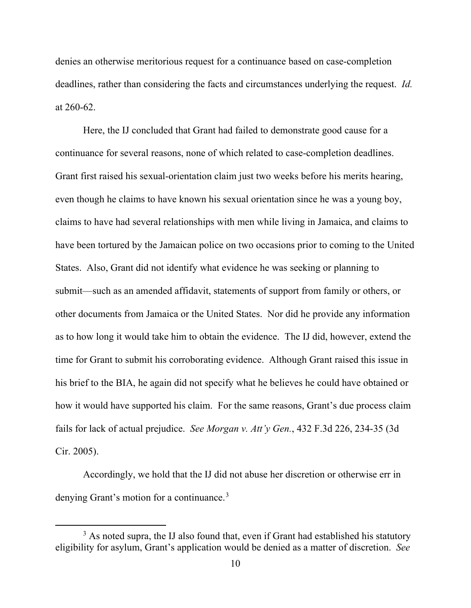denies an otherwise meritorious request for a continuance based on case-completion deadlines, rather than considering the facts and circumstances underlying the request. *Id.* at 260-62.

Here, the IJ concluded that Grant had failed to demonstrate good cause for a continuance for several reasons, none of which related to case-completion deadlines. Grant first raised his sexual-orientation claim just two weeks before his merits hearing, even though he claims to have known his sexual orientation since he was a young boy, claims to have had several relationships with men while living in Jamaica, and claims to have been tortured by the Jamaican police on two occasions prior to coming to the United States. Also, Grant did not identify what evidence he was seeking or planning to submit—such as an amended affidavit, statements of support from family or others, or other documents from Jamaica or the United States. Nor did he provide any information as to how long it would take him to obtain the evidence. The IJ did, however, extend the time for Grant to submit his corroborating evidence. Although Grant raised this issue in his brief to the BIA, he again did not specify what he believes he could have obtained or how it would have supported his claim. For the same reasons, Grant's due process claim fails for lack of actual prejudice. *See Morgan v. Att'y Gen.*, 432 F.3d 226, 234-35 (3d Cir. 2005).

Accordingly, we hold that the IJ did not abuse her discretion or otherwise err in denying Grant's motion for a continuance.<sup>3</sup>

 $3$  As noted supra, the IJ also found that, even if Grant had established his statutory eligibility for asylum, Grant's application would be denied as a matter of discretion. *See*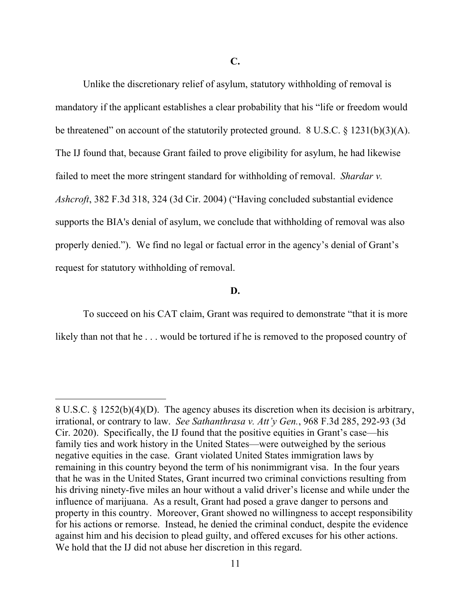Unlike the discretionary relief of asylum, statutory withholding of removal is mandatory if the applicant establishes a clear probability that his "life or freedom would be threatened" on account of the statutorily protected ground. 8 U.S.C. § 1231(b)(3)(A). The IJ found that, because Grant failed to prove eligibility for asylum, he had likewise failed to meet the more stringent standard for withholding of removal. *Shardar v. Ashcroft*, 382 F.3d 318, 324 (3d Cir. 2004) ("Having concluded substantial evidence supports the BIA's denial of asylum, we conclude that withholding of removal was also properly denied."). We find no legal or factual error in the agency's denial of Grant's request for statutory withholding of removal.

#### **D.**

To succeed on his CAT claim, Grant was required to demonstrate "that it is more likely than not that he ... would be tortured if he is removed to the proposed country of

<sup>8</sup> U.S.C. § 1252(b)(4)(D). The agency abuses its discretion when its decision is arbitrary, irrational, or contrary to law. *See Sathanthrasa v. Att'y Gen.*, 968 F.3d 285, 292-93 (3d Cir. 2020). Specifically, the IJ found that the positive equities in Grant's case—his family ties and work history in the United States—were outweighed by the serious negative equities in the case. Grant violated United States immigration laws by remaining in this country beyond the term of his nonimmigrant visa. In the four years that he was in the United States, Grant incurred two criminal convictions resulting from his driving ninety-five miles an hour without a valid driver's license and while under the influence of marijuana. As a result, Grant had posed a grave danger to persons and property in this country. Moreover, Grant showed no willingness to accept responsibility for his actions or remorse. Instead, he denied the criminal conduct, despite the evidence against him and his decision to plead guilty, and offered excuses for his other actions. We hold that the IJ did not abuse her discretion in this regard.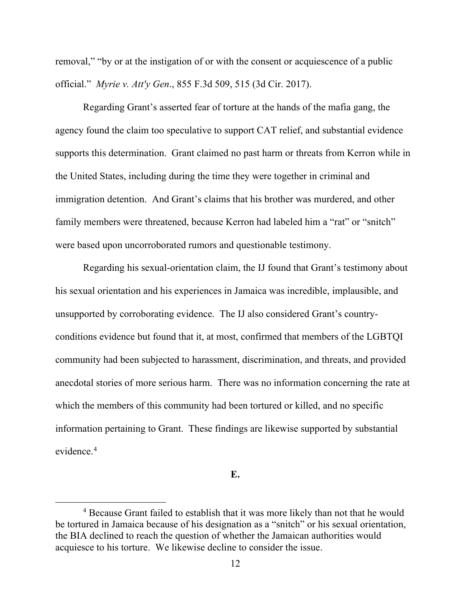removal," "by or at the instigation of or with the consent or acquiescence of a public official." *Myrie v. Att'y Gen*., 855 F.3d 509, 515 (3d Cir. 2017).

Regarding Grant's asserted fear of torture at the hands of the mafia gang, the agency found the claim too speculative to support CAT relief, and substantial evidence supports this determination. Grant claimed no past harm or threats from Kerron while in the United States, including during the time they were together in criminal and immigration detention. And Grant's claims that his brother was murdered, and other family members were threatened, because Kerron had labeled him a "rat" or "snitch" were based upon uncorroborated rumors and questionable testimony.

Regarding his sexual-orientation claim, the IJ found that Grant's testimony about his sexual orientation and his experiences in Jamaica was incredible, implausible, and unsupported by corroborating evidence. The IJ also considered Grant's countryconditions evidence but found that it, at most, confirmed that members of the LGBTQI community had been subjected to harassment, discrimination, and threats, and provided anecdotal stories of more serious harm. There was no information concerning the rate at which the members of this community had been tortured or killed, and no specific information pertaining to Grant. These findings are likewise supported by substantial evidence. 4

**E.**

<sup>&</sup>lt;sup>4</sup> Because Grant failed to establish that it was more likely than not that he would be tortured in Jamaica because of his designation as a "snitch" or his sexual orientation, the BIA declined to reach the question of whether the Jamaican authorities would acquiesce to his torture. We likewise decline to consider the issue.